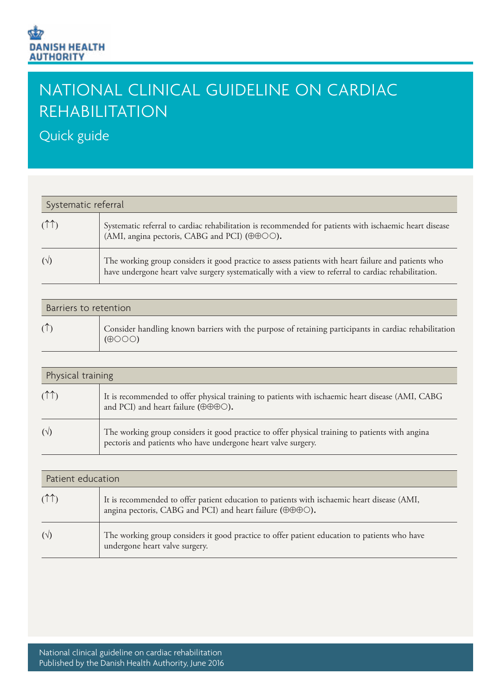## NATIONAL CLINICAL GUIDELINE ON CARDIAC REHABILITATION

Quick guide

| Systematic referral |                                                                                                                                                                                                             |
|---------------------|-------------------------------------------------------------------------------------------------------------------------------------------------------------------------------------------------------------|
| (1 <sup>1</sup> )   | Systematic referral to cardiac rehabilitation is recommended for patients with ischaemic heart disease<br>(AMI, angina pectoris, CABG and PCI) ( $\oplus \oplus \odot$ O).                                  |
|                     | The working group considers it good practice to assess patients with heart failure and patients who<br>have undergone heart valve surgery systematically with a view to referral to cardiac rehabilitation. |

| Barriers to retention |                                                                                                                         |
|-----------------------|-------------------------------------------------------------------------------------------------------------------------|
|                       | Consider handling known barriers with the purpose of retaining participants in cardiac rehabilitation<br>$(\oplus$ OOO) |

| Physical training |                                                                                                                                                                  |
|-------------------|------------------------------------------------------------------------------------------------------------------------------------------------------------------|
|                   | It is recommended to offer physical training to patients with ischaemic heart disease (AMI, CABG<br>and PCI) and heart failure ( $\oplus \oplus \oplus \odot$ ). |
| $(\vee)$          | The working group considers it good practice to offer physical training to patients with angina<br>pectoris and patients who have undergone heart valve surgery. |

| Patient education |                                                                                                                                                                                   |
|-------------------|-----------------------------------------------------------------------------------------------------------------------------------------------------------------------------------|
|                   | It is recommended to offer patient education to patients with ischaemic heart disease (AMI,<br>angina pectoris, CABG and PCI) and heart failure ( $\oplus \oplus \oplus \odot$ ). |
| $(\vee)$          | The working group considers it good practice to offer patient education to patients who have<br>undergone heart valve surgery.                                                    |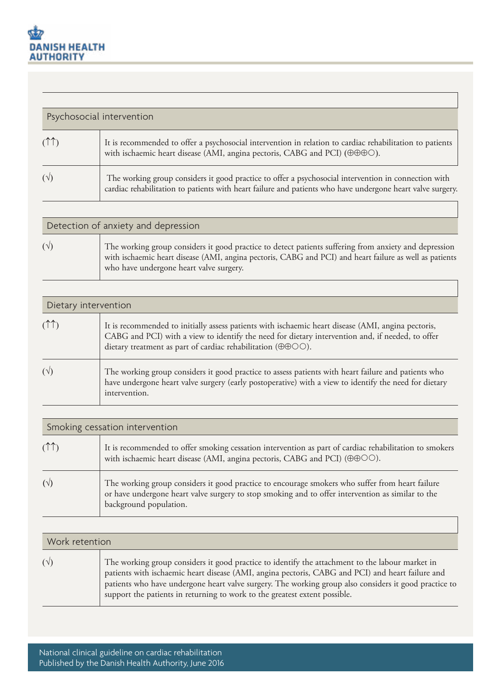| Psychosocial intervention |                                                                                                                                                                                                                    |
|---------------------------|--------------------------------------------------------------------------------------------------------------------------------------------------------------------------------------------------------------------|
|                           | It is recommended to offer a psychosocial intervention in relation to cardiac rehabilitation to patients<br>with ischaemic heart disease (AMI, angina pectoris, CABG and PCI) ( $\oplus \oplus \oplus \odot$ ).    |
|                           | The working group considers it good practice to offer a psychosocial intervention in connection with<br>cardiac rehabilitation to patients with heart failure and patients who have undergone heart valve surgery. |

| Detection of anxiety and depression |                                                                                                                                                                                                                                                             |
|-------------------------------------|-------------------------------------------------------------------------------------------------------------------------------------------------------------------------------------------------------------------------------------------------------------|
| $(\sqrt{2})$                        | The working group considers it good practice to detect patients suffering from anxiety and depression<br>with ischaemic heart disease (AMI, angina pectoris, CABG and PCI) and heart failure as well as patients<br>who have undergone heart valve surgery. |

| Dietary intervention |                                                                                                                                                                                                                                                                      |
|----------------------|----------------------------------------------------------------------------------------------------------------------------------------------------------------------------------------------------------------------------------------------------------------------|
|                      | It is recommended to initially assess patients with ischaemic heart disease (AMI, angina pectoris,<br>CABG and PCI) with a view to identify the need for dietary intervention and, if needed, to offer<br>dietary treatment as part of cardiac rehabilitation (OOO). |
| $(\sqrt{2})$         | The working group considers it good practice to assess patients with heart failure and patients who<br>have undergone heart valve surgery (early postoperative) with a view to identify the need for dietary<br>intervention.                                        |

| Smoking cessation intervention |                                                                                                                                                                                                                                |
|--------------------------------|--------------------------------------------------------------------------------------------------------------------------------------------------------------------------------------------------------------------------------|
|                                | It is recommended to offer smoking cessation intervention as part of cardiac rehabilitation to smokers<br>with ischaemic heart disease (AMI, angina pectoris, CABG and PCI) ( $\oplus \oplus \odot \odot$ ).                   |
| $(\sqrt{2})$                   | The working group considers it good practice to encourage smokers who suffer from heart failure<br>or have undergone heart valve surgery to stop smoking and to offer intervention as similar to the<br>background population. |

| Work retention |                                                                                                                                                                                                                                                                                                                                                                                            |
|----------------|--------------------------------------------------------------------------------------------------------------------------------------------------------------------------------------------------------------------------------------------------------------------------------------------------------------------------------------------------------------------------------------------|
| $(\sqrt{2})$   | The working group considers it good practice to identify the attachment to the labour market in<br>patients with ischaemic heart disease (AMI, angina pectoris, CABG and PCI) and heart failure and<br>patients who have undergone heart valve surgery. The working group also considers it good practice to<br>support the patients in returning to work to the greatest extent possible. |